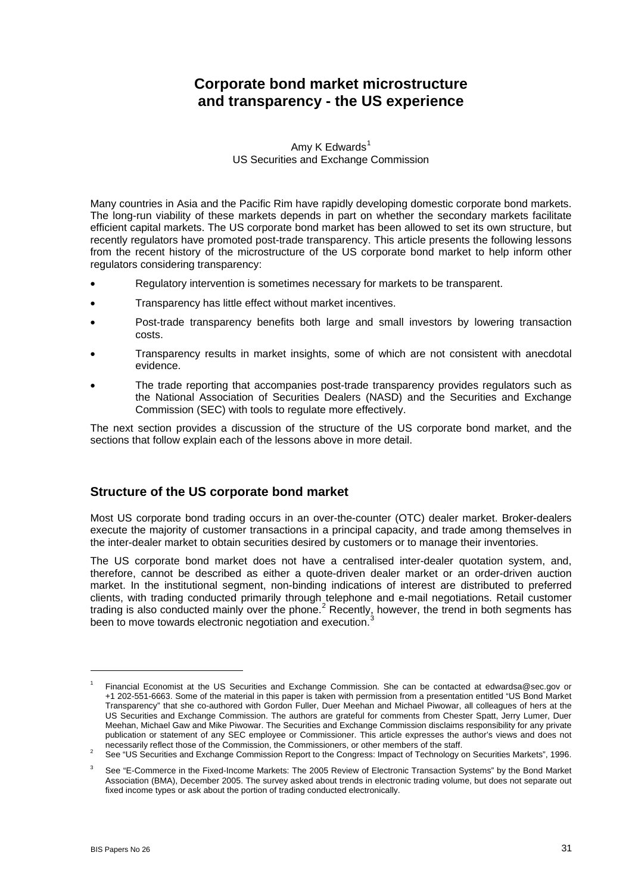# **Corporate bond market microstructure and transparency - the US experience**

Amy  $K$  Edwards<sup>[1](#page-0-0)</sup> US Securities and Exchange Commission

Many countries in Asia and the Pacific Rim have rapidly developing domestic corporate bond markets. The long-run viability of these markets depends in part on whether the secondary markets facilitate efficient capital markets. The US corporate bond market has been allowed to set its own structure, but recently regulators have promoted post-trade transparency. This article presents the following lessons from the recent history of the microstructure of the US corporate bond market to help inform other regulators considering transparency:

- Regulatory intervention is sometimes necessary for markets to be transparent.
- Transparency has little effect without market incentives.
- Post-trade transparency benefits both large and small investors by lowering transaction costs.
- Transparency results in market insights, some of which are not consistent with anecdotal evidence.
- The trade reporting that accompanies post-trade transparency provides regulators such as the National Association of Securities Dealers (NASD) and the Securities and Exchange Commission (SEC) with tools to regulate more effectively.

The next section provides a discussion of the structure of the US corporate bond market, and the sections that follow explain each of the lessons above in more detail.

# **Structure of the US corporate bond market**

Most US corporate bond trading occurs in an over-the-counter (OTC) dealer market. Broker-dealers execute the majority of customer transactions in a principal capacity, and trade among themselves in the inter-dealer market to obtain securities desired by customers or to manage their inventories.

The US corporate bond market does not have a centralised inter-dealer quotation system, and, therefore, cannot be described as either a quote-driven dealer market or an order-driven auction market. In the institutional segment, non-binding indications of interest are distributed to preferred clients, with trading conducted primarily through telephone and e-mail negotiations. Retail customer trading is also conducted mainly over the phone.<sup>[2](#page-0-1)</sup> Recently, however, the trend in both segments has been to move towards electronic negotiation and execution.

1

<span id="page-0-0"></span><sup>1</sup> Financial Economist at the US Securities and Exchange Commission. She can be contacted at edwardsa@sec.gov or +1 202-551-6663. Some of the material in this paper is taken with permission from a presentation entitled "US Bond Market Transparency" that she co-authored with Gordon Fuller, Duer Meehan and Michael Piwowar, all colleagues of hers at the US Securities and Exchange Commission. The authors are grateful for comments from Chester Spatt, Jerry Lumer, Duer Meehan, Michael Gaw and Mike Piwowar. The Securities and Exchange Commission disclaims responsibility for any private publication or statement of any SEC employee or Commissioner. This article expresses the author's views and does not necessarily reflect those of the Commission, the Commissioners, or other members of the staff.

<span id="page-0-1"></span>See "US Securities and Exchange Commission Report to the Congress: Impact of Technology on Securities Markets", 1996.

<span id="page-0-2"></span><sup>3</sup> See "E-Commerce in the Fixed-Income Markets: The 2005 Review of Electronic Transaction Systems" by the Bond Market Association (BMA), December 2005. The survey asked about trends in electronic trading volume, but does not separate out fixed income types or ask about the portion of trading conducted electronically.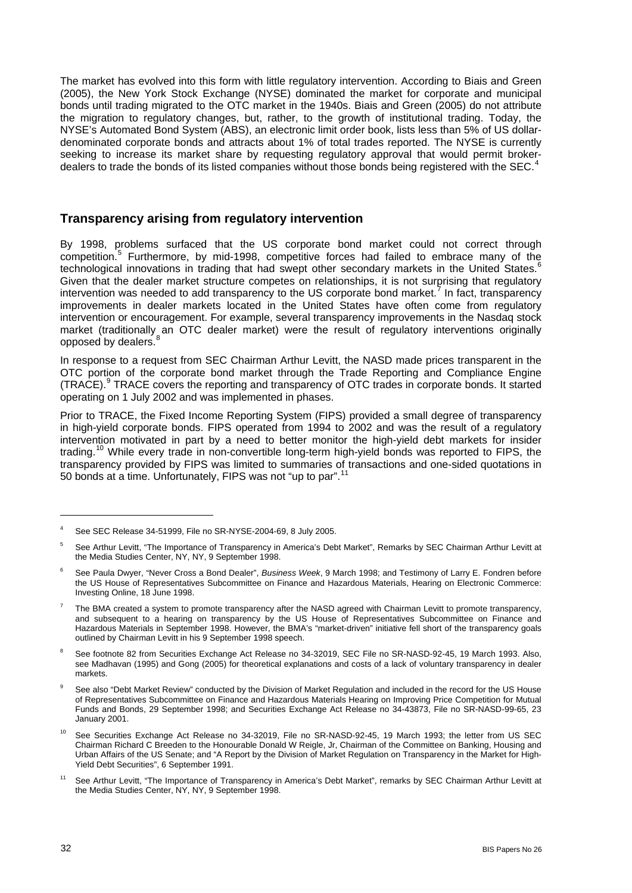The market has evolved into this form with little regulatory intervention. According to Biais and Green (2005), the New York Stock Exchange (NYSE) dominated the market for corporate and municipal bonds until trading migrated to the OTC market in the 1940s. Biais and Green (2005) do not attribute the migration to regulatory changes, but, rather, to the growth of institutional trading. Today, the NYSE's Automated Bond System (ABS), an electronic limit order book, lists less than 5% of US dollardenominated corporate bonds and attracts about 1% of total trades reported. The NYSE is currently seeking to increase its market share by requesting regulatory approval that would permit broker-dealers to trade the bonds of its listed companies without those bonds being registered with the SEC.<sup>[4](#page-1-0)</sup>

### **Transparency arising from regulatory intervention**

By 1998, problems surfaced that the US corporate bond market could not correct through competition.<sup>[5](#page-1-1)</sup> Furthermore, by mid-1998, competitive forces had failed to embrace many of the technological innovations in trading that had swept other secondary markets in the United States.<sup>[6](#page-1-2)</sup> Given that the dealer market structure competes on relationships, it is not surprising that regulatory intervention was needed to add transparency to the US corporate bond market.<sup>[7](#page-1-3)</sup> In fact, transparency improvements in dealer markets located in the United States have often come from regulatory intervention or encouragement. For example, several transparency improvements in the Nasdaq stock market (traditionally an OTC dealer market) were the result of regulatory interventions originally opposed by dealers.

In response to a request from SEC Chairman Arthur Levitt, the NASD made prices transparent in the OTC portion of the corporate bond market through the Trade Reporting and Compliance Engine (TRACE).<sup>[9](#page-1-5)</sup> TRACE covers the reporting and transparency of OTC trades in corporate bonds. It started operating on 1 July 2002 and was implemented in phases.

Prior to TRACE, the Fixed Income Reporting System (FIPS) provided a small degree of transparency in high-yield corporate bonds. FIPS operated from 1994 to 2002 and was the result of a regulatory intervention motivated in part by a need to better monitor the high-yield debt markets for insider trading.<sup>[1](#page-1-6)0</sup> While every trade in non-convertible long-term high-yield bonds was reported to FIPS, the transparency provided by FIPS was limited to summaries of transactions and one-sided quotations in 50 bonds at a time. Unfortunately, FIPS was not "up to par".[11](#page-1-7)

l

<span id="page-1-0"></span><sup>4</sup> See SEC Release 34-51999, File no SR-NYSE-2004-69, 8 July 2005.

<span id="page-1-1"></span><sup>5</sup> See Arthur Levitt, "The Importance of Transparency in America's Debt Market", Remarks by SEC Chairman Arthur Levitt at the Media Studies Center, NY, NY, 9 September 1998.

<span id="page-1-2"></span><sup>6</sup> See Paula Dwyer, "Never Cross a Bond Dealer", *Business Week*, 9 March 1998; and Testimony of Larry E. Fondren before the US House of Representatives Subcommittee on Finance and Hazardous Materials, Hearing on Electronic Commerce: Investing Online, 18 June 1998.

<span id="page-1-3"></span><sup>7</sup> The BMA created a system to promote transparency after the NASD agreed with Chairman Levitt to promote transparency, and subsequent to a hearing on transparency by the US House of Representatives Subcommittee on Finance and Hazardous Materials in September 1998. However, the BMA's "market-driven" initiative fell short of the transparency goals outlined by Chairman Levitt in his 9 September 1998 speech.

<span id="page-1-4"></span><sup>8</sup> See footnote 82 from Securities Exchange Act Release no 34-32019, SEC File no SR-NASD-92-45, 19 March 1993. Also, see Madhavan (1995) and Gong (2005) for theoretical explanations and costs of a lack of voluntary transparency in dealer markets.

<span id="page-1-5"></span><sup>9</sup> See also "Debt Market Review" conducted by the Division of Market Regulation and included in the record for the US House of Representatives Subcommittee on Finance and Hazardous Materials Hearing on Improving Price Competition for Mutual Funds and Bonds, 29 September 1998; and Securities Exchange Act Release no 34-43873, File no SR-NASD-99-65, 23 January 2001.

<span id="page-1-6"></span><sup>10</sup> See Securities Exchange Act Release no 34-32019, File no SR-NASD-92-45, 19 March 1993; the letter from US SEC Chairman Richard C Breeden to the Honourable Donald W Reigle, Jr, Chairman of the Committee on Banking, Housing and Urban Affairs of the US Senate; and "A Report by the Division of Market Regulation on Transparency in the Market for High-Yield Debt Securities", 6 September 1991.

<span id="page-1-7"></span><sup>11</sup> See Arthur Levitt, "The Importance of Transparency in America's Debt Market", remarks by SEC Chairman Arthur Levitt at the Media Studies Center, NY, NY, 9 September 1998.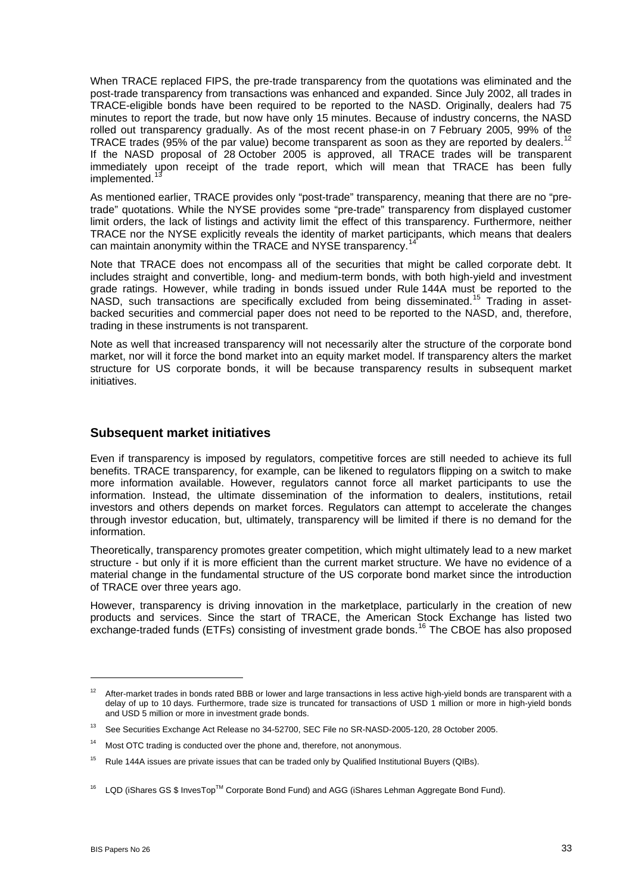When TRACE replaced FIPS, the pre-trade transparency from the quotations was eliminated and the post-trade transparency from transactions was enhanced and expanded. Since July 2002, all trades in TRACE-eligible bonds have been required to be reported to the NASD. Originally, dealers had 75 minutes to report the trade, but now have only 15 minutes. Because of industry concerns, the NASD rolled out transparency gradually. As of the most recent phase-in on 7 February 2005, 99% of the TRACE trades (95% of the par value) become transparent as soon as they are reported by dealers.<sup>[1](#page-2-0)2</sup> If the NASD proposal of 28 October 2005 is approved, all TRACE trades will be transparent immediately upon receipt of the trade report, which will mean that TRACE has been fully implemented.<sup>[1](#page-2-1)3</sup>

As mentioned earlier, TRACE provides only "post-trade" transparency, meaning that there are no "pretrade" quotations. While the NYSE provides some "pre-trade" transparency from displayed customer limit orders, the lack of listings and activity limit the effect of this transparency. Furthermore, neither TRACE nor the NYSE explicitly reveals the identity of market participants, which means that dealers can maintain anonymity within the TRACE and NYSE transparency.<sup>1</sup>

Note that TRACE does not encompass all of the securities that might be called corporate debt. It includes straight and convertible, long- and medium-term bonds, with both high-yield and investment grade ratings. However, while trading in bonds issued under Rule 144A must be reported to the NASD, such transactions are specifically excluded from being disseminated.<sup>[1](#page-2-3)5</sup> Trading in assetbacked securities and commercial paper does not need to be reported to the NASD, and, therefore, trading in these instruments is not transparent.

Note as well that increased transparency will not necessarily alter the structure of the corporate bond market, nor will it force the bond market into an equity market model. If transparency alters the market structure for US corporate bonds, it will be because transparency results in subsequent market initiatives.

#### **Subsequent market initiatives**

Even if transparency is imposed by regulators, competitive forces are still needed to achieve its full benefits. TRACE transparency, for example, can be likened to regulators flipping on a switch to make more information available. However, regulators cannot force all market participants to use the information. Instead, the ultimate dissemination of the information to dealers, institutions, retail investors and others depends on market forces. Regulators can attempt to accelerate the changes through investor education, but, ultimately, transparency will be limited if there is no demand for the information.

Theoretically, transparency promotes greater competition, which might ultimately lead to a new market structure - but only if it is more efficient than the current market structure. We have no evidence of a material change in the fundamental structure of the US corporate bond market since the introduction of TRACE over three years ago.

However, transparency is driving innovation in the marketplace, particularly in the creation of new products and services. Since the start of TRACE, the American Stock Exchange has listed two exchange-traded funds (ETFs) consisting of investment grade bonds.<sup>[16](#page-2-4)</sup> The CBOE has also proposed

1

<span id="page-2-0"></span>After-market trades in bonds rated BBB or lower and large transactions in less active high-yield bonds are transparent with a delay of up to 10 days. Furthermore, trade size is truncated for transactions of USD 1 million or more in high-yield bonds and USD 5 million or more in investment grade bonds.

<span id="page-2-1"></span><sup>&</sup>lt;sup>13</sup> See Securities Exchange Act Release no 34-52700, SEC File no SR-NASD-2005-120, 28 October 2005.

<span id="page-2-2"></span> $14$  Most OTC trading is conducted over the phone and, therefore, not anonymous.

<span id="page-2-3"></span> $15$  Rule 144A issues are private issues that can be traded only by Qualified Institutional Buyers (QIBs).

<span id="page-2-4"></span><sup>&</sup>lt;sup>16</sup> LQD (iShares GS \$ InvesTop™ Corporate Bond Fund) and AGG (iShares Lehman Aggregate Bond Fund).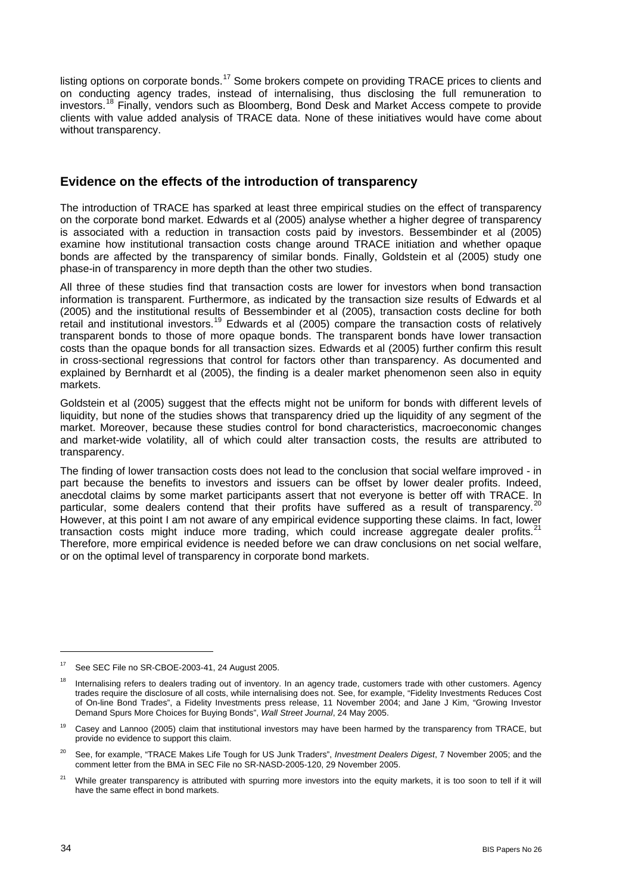listing options on corporate bonds.<sup>[17](#page-3-0)</sup> Some brokers compete on providing TRACE prices to clients and on conducting agency trades, instead of internalising, thus disclosing the full remuneration to investors.[18](#page-3-1) Finally, vendors such as Bloomberg, Bond Desk and Market Access compete to provide clients with value added analysis of TRACE data. None of these initiatives would have come about without transparency.

### **Evidence on the effects of the introduction of transparency**

The introduction of TRACE has sparked at least three empirical studies on the effect of transparency on the corporate bond market. Edwards et al (2005) analyse whether a higher degree of transparency is associated with a reduction in transaction costs paid by investors. Bessembinder et al (2005) examine how institutional transaction costs change around TRACE initiation and whether opaque bonds are affected by the transparency of similar bonds. Finally, Goldstein et al (2005) study one phase-in of transparency in more depth than the other two studies.

All three of these studies find that transaction costs are lower for investors when bond transaction information is transparent. Furthermore, as indicated by the transaction size results of Edwards et al (2005) and the institutional results of Bessembinder et al (2005), transaction costs decline for both retail and institutional investors.<sup>[1](#page-3-2)9</sup> Edwards et al (2005) compare the transaction costs of relatively transparent bonds to those of more opaque bonds. The transparent bonds have lower transaction costs than the opaque bonds for all transaction sizes. Edwards et al (2005) further confirm this result in cross-sectional regressions that control for factors other than transparency. As documented and explained by Bernhardt et al (2005), the finding is a dealer market phenomenon seen also in equity markets.

Goldstein et al (2005) suggest that the effects might not be uniform for bonds with different levels of liquidity, but none of the studies shows that transparency dried up the liquidity of any segment of the market. Moreover, because these studies control for bond characteristics, macroeconomic changes and market-wide volatility, all of which could alter transaction costs, the results are attributed to transparency.

The finding of lower transaction costs does not lead to the conclusion that social welfare improved - in part because the benefits to investors and issuers can be offset by lower dealer profits. Indeed, anecdotal claims by some market participants assert that not everyone is better off with TRACE. In particular, some dealers contend that their profits have suffered as a result of transparency.<sup>[20](#page-3-3)</sup> However, at this point I am not aware of any empirical evidence supporting these claims. In fact, lower transaction costs might induce more trading, which could increase aggregate dealer profits. $21$ Therefore, more empirical evidence is needed before we can draw conclusions on net social welfare, or on the optimal level of transparency in corporate bond markets.

l

<span id="page-3-0"></span><sup>17</sup> See SEC File no SR-CBOE-2003-41, 24 August 2005.

<span id="page-3-1"></span><sup>&</sup>lt;sup>18</sup> Internalising refers to dealers trading out of inventory. In an agency trade, customers trade with other customers. Agency trades require the disclosure of all costs, while internalising does not. See, for example, "Fidelity Investments Reduces Cost of On-line Bond Trades", a Fidelity Investments press release, 11 November 2004; and Jane J Kim, "Growing Investor Demand Spurs More Choices for Buying Bonds", *Wall Street Journal*, 24 May 2005.

<span id="page-3-2"></span>Casey and Lannoo (2005) claim that institutional investors may have been harmed by the transparency from TRACE, but provide no evidence to support this claim.

<span id="page-3-3"></span><sup>20</sup> See, for example, "TRACE Makes Life Tough for US Junk Traders", *Investment Dealers Digest*, 7 November 2005; and the comment letter from the BMA in SEC File no SR-NASD-2005-120, 29 November 2005.

<span id="page-3-4"></span><sup>&</sup>lt;sup>21</sup> While greater transparency is attributed with spurring more investors into the equity markets, it is too soon to tell if it will have the same effect in bond markets.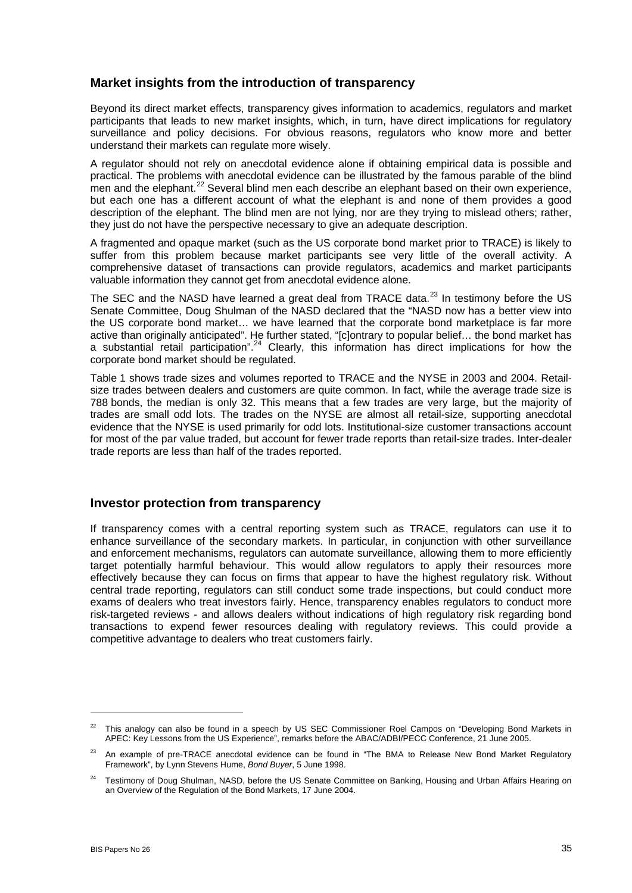### **Market insights from the introduction of transparency**

Beyond its direct market effects, transparency gives information to academics, regulators and market participants that leads to new market insights, which, in turn, have direct implications for regulatory surveillance and policy decisions. For obvious reasons, regulators who know more and better understand their markets can regulate more wisely.

A regulator should not rely on anecdotal evidence alone if obtaining empirical data is possible and practical. The problems with anecdotal evidence can be illustrated by the famous parable of the blind men and the elephant. $22$  Several blind men each describe an elephant based on their own experience, but each one has a different account of what the elephant is and none of them provides a good description of the elephant. The blind men are not lying, nor are they trying to mislead others; rather, they just do not have the perspective necessary to give an adequate description.

A fragmented and opaque market (such as the US corporate bond market prior to TRACE) is likely to suffer from this problem because market participants see very little of the overall activity. A comprehensive dataset of transactions can provide regulators, academics and market participants valuable information they cannot get from anecdotal evidence alone.

The SEC and the NASD have learned a great deal from TRACE data. $^{23}$  $^{23}$  $^{23}$  In testimony before the US Senate Committee, Doug Shulman of the NASD declared that the "NASD now has a better view into the US corporate bond market… we have learned that the corporate bond marketplace is far more active than originally anticipated". He further stated, "[c]ontrary to popular belief… the bond market has a substantial retail participation".<sup>[24](#page-4-2)</sup> Clearly, this information has direct implications for how the corporate bond market should be regulated.

Table 1 shows trade sizes and volumes reported to TRACE and the NYSE in 2003 and 2004. Retailsize trades between dealers and customers are quite common. In fact, while the average trade size is 788 bonds, the median is only 32. This means that a few trades are very large, but the majority of trades are small odd lots. The trades on the NYSE are almost all retail-size, supporting anecdotal evidence that the NYSE is used primarily for odd lots. Institutional-size customer transactions account for most of the par value traded, but account for fewer trade reports than retail-size trades. Inter-dealer trade reports are less than half of the trades reported.

#### **Investor protection from transparency**

If transparency comes with a central reporting system such as TRACE, regulators can use it to enhance surveillance of the secondary markets. In particular, in conjunction with other surveillance and enforcement mechanisms, regulators can automate surveillance, allowing them to more efficiently target potentially harmful behaviour. This would allow regulators to apply their resources more effectively because they can focus on firms that appear to have the highest regulatory risk. Without central trade reporting, regulators can still conduct some trade inspections, but could conduct more exams of dealers who treat investors fairly. Hence, transparency enables regulators to conduct more risk-targeted reviews - and allows dealers without indications of high regulatory risk regarding bond transactions to expend fewer resources dealing with regulatory reviews. This could provide a competitive advantage to dealers who treat customers fairly.

1

<span id="page-4-0"></span><sup>&</sup>lt;sup>22</sup> This analogy can also be found in a speech by US SEC Commissioner Roel Campos on "Developing Bond Markets in APEC: Key Lessons from the US Experience", remarks before the ABAC/ADBI/PECC Conference, 21 June 2005.

<span id="page-4-1"></span><sup>&</sup>lt;sup>23</sup> An example of pre-TRACE anecdotal evidence can be found in "The BMA to Release New Bond Market Regulatory Framework", by Lynn Stevens Hume, *Bond Buyer*, 5 June 1998.

<span id="page-4-2"></span><sup>&</sup>lt;sup>24</sup> Testimony of Doug Shulman, NASD, before the US Senate Committee on Banking, Housing and Urban Affairs Hearing on an Overview of the Regulation of the Bond Markets, 17 June 2004.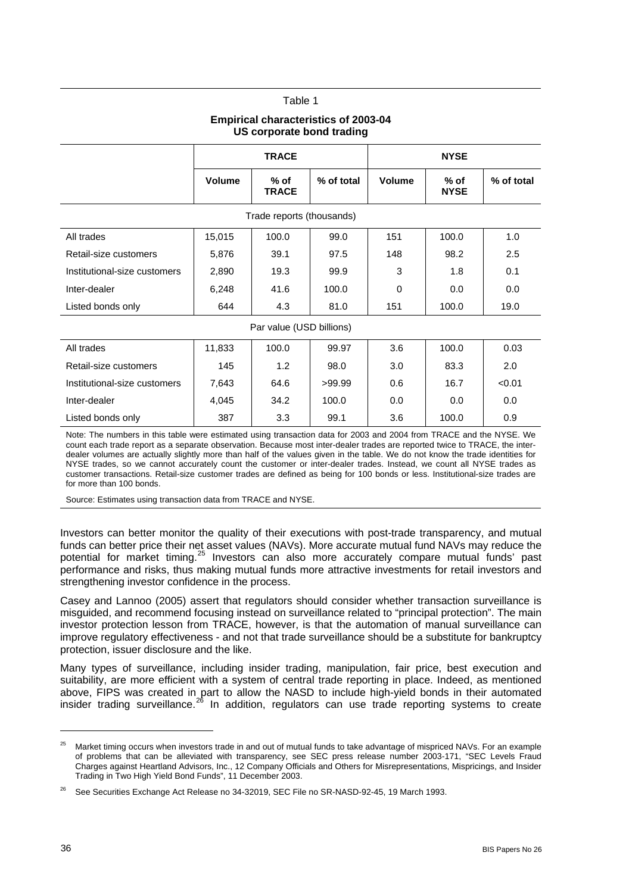| аn<br>ı |
|---------|
|---------|

#### **Empirical characteristics of 2003-04 US corporate bond trading**

|                              | <b>TRACE</b>  |                        |            | <b>NYSE</b>   |                       |            |  |
|------------------------------|---------------|------------------------|------------|---------------|-----------------------|------------|--|
|                              | <b>Volume</b> | $%$ of<br><b>TRACE</b> | % of total | <b>Volume</b> | $%$ of<br><b>NYSE</b> | % of total |  |
| Trade reports (thousands)    |               |                        |            |               |                       |            |  |
| All trades                   | 15,015        | 100.0                  | 99.0       | 151           | 100.0                 | 1.0        |  |
| Retail-size customers        | 5,876         | 39.1                   | 97.5       | 148           | 98.2                  | 2.5        |  |
| Institutional-size customers | 2,890         | 19.3                   | 99.9       | 3             | 1.8                   | 0.1        |  |
| Inter-dealer                 | 6,248         | 41.6                   | 100.0      | 0             | 0.0                   | 0.0        |  |
| Listed bonds only            | 644           | 4.3                    | 81.0       | 151           | 100.0                 | 19.0       |  |
| Par value (USD billions)     |               |                        |            |               |                       |            |  |
| All trades                   | 11,833        | 100.0                  | 99.97      | 3.6           | 100.0                 | 0.03       |  |
| Retail-size customers        | 145           | 1.2                    | 98.0       | 3.0           | 83.3                  | 2.0        |  |
| Institutional-size customers | 7,643         | 64.6                   | >99.99     | 0.6           | 16.7                  | < 0.01     |  |
| Inter-dealer                 | 4,045         | 34.2                   | 100.0      | 0.0           | 0.0                   | 0.0        |  |
| Listed bonds only            | 387           | 3.3                    | 99.1       | 3.6           | 100.0                 | 0.9        |  |

Note: The numbers in this table were estimated using transaction data for 2003 and 2004 from TRACE and the NYSE. We count each trade report as a separate observation. Because most inter-dealer trades are reported twice to TRACE, the interdealer volumes are actually slightly more than half of the values given in the table. We do not know the trade identities for NYSE trades, so we cannot accurately count the customer or inter-dealer trades. Instead, we count all NYSE trades as customer transactions. Retail-size customer trades are defined as being for 100 bonds or less. Institutional-size trades are for more than 100 bonds.

Source: Estimates using transaction data from TRACE and NYSE.

Investors can better monitor the quality of their executions with post-trade transparency, and mutual funds can better price their net asset values (NAVs). More accurate mutual fund NAVs may reduce the potential for market timing.<sup>[25](#page-5-0)</sup> Investors can also more accurately compare mutual funds' past performance and risks, thus making mutual funds more attractive investments for retail investors and strengthening investor confidence in the process.

Casey and Lannoo (2005) assert that regulators should consider whether transaction surveillance is misguided, and recommend focusing instead on surveillance related to "principal protection". The main investor protection lesson from TRACE, however, is that the automation of manual surveillance can improve regulatory effectiveness - and not that trade surveillance should be a substitute for bankruptcy protection, issuer disclosure and the like.

Many types of surveillance, including insider trading, manipulation, fair price, best execution and suitability, are more efficient with a system of central trade reporting in place. Indeed, as mentioned above, FIPS was created in part to allow the NASD to include high-yield bonds in their automated insider trading surveillance.<sup>[2](#page-5-1)6</sup> In addition, regulators can use trade reporting systems to create

l

<span id="page-5-0"></span><sup>&</sup>lt;sup>25</sup> Market timing occurs when investors trade in and out of mutual funds to take advantage of mispriced NAVs. For an example of problems that can be alleviated with transparency, see SEC press release number 2003-171, "SEC Levels Fraud Charges against Heartland Advisors, Inc., 12 Company Officials and Others for Misrepresentations, Mispricings, and Insider Trading in Two High Yield Bond Funds", 11 December 2003.

<span id="page-5-1"></span> $26$  See Securities Exchange Act Release no 34-32019, SEC File no SR-NASD-92-45, 19 March 1993.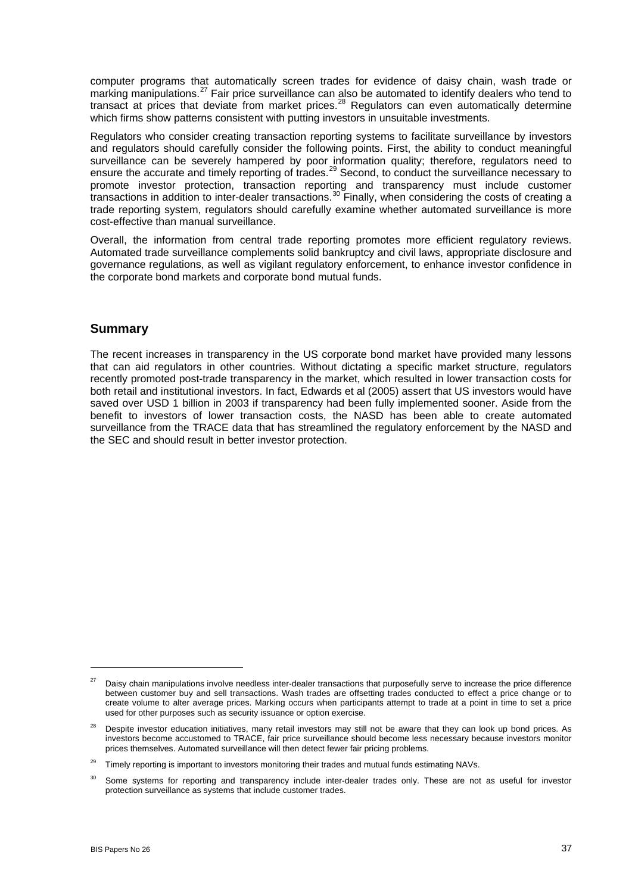computer programs that automatically screen trades for evidence of daisy chain, wash trade or marking manipulations.<sup>[2](#page-6-0)7</sup> Fair price surveillance can also be automated to identify dealers who tend to transact at prices that deviate from market prices.<sup>[2](#page-6-1)8</sup> Regulators can even automatically determine which firms show patterns consistent with putting investors in unsuitable investments.

Regulators who consider creating transaction reporting systems to facilitate surveillance by investors and regulators should carefully consider the following points. First, the ability to conduct meaningful surveillance can be severely hampered by poor information quality; therefore, regulators need to ensure the accurate and timely reporting of trades.<sup>[29](#page-6-2)</sup> Second, to conduct the surveillance necessary to promote investor protection, transaction reporting and transparency must include customer transactions in addition to inter-dealer transactions.<sup>[30](#page-6-3)</sup> Finally, when considering the costs of creating a trade reporting system, regulators should carefully examine whether automated surveillance is more cost-effective than manual surveillance.

Overall, the information from central trade reporting promotes more efficient regulatory reviews. Automated trade surveillance complements solid bankruptcy and civil laws, appropriate disclosure and governance regulations, as well as vigilant regulatory enforcement, to enhance investor confidence in the corporate bond markets and corporate bond mutual funds.

# **Summary**

The recent increases in transparency in the US corporate bond market have provided many lessons that can aid regulators in other countries. Without dictating a specific market structure, regulators recently promoted post-trade transparency in the market, which resulted in lower transaction costs for both retail and institutional investors. In fact, Edwards et al (2005) assert that US investors would have saved over USD 1 billion in 2003 if transparency had been fully implemented sooner. Aside from the benefit to investors of lower transaction costs, the NASD has been able to create automated surveillance from the TRACE data that has streamlined the regulatory enforcement by the NASD and the SEC and should result in better investor protection.

-

<span id="page-6-0"></span><sup>&</sup>lt;sup>27</sup> Daisy chain manipulations involve needless inter-dealer transactions that purposefully serve to increase the price difference between customer buy and sell transactions. Wash trades are offsetting trades conducted to effect a price change or to create volume to alter average prices. Marking occurs when participants attempt to trade at a point in time to set a price used for other purposes such as security issuance or option exercise.

<span id="page-6-1"></span><sup>28</sup> Despite investor education initiatives, many retail investors may still not be aware that they can look up bond prices. As investors become accustomed to TRACE, fair price surveillance should become less necessary because investors monitor prices themselves. Automated surveillance will then detect fewer fair pricing problems.

<span id="page-6-2"></span><sup>&</sup>lt;sup>29</sup> Timely reporting is important to investors monitoring their trades and mutual funds estimating NAVs.

<span id="page-6-3"></span><sup>&</sup>lt;sup>30</sup> Some systems for reporting and transparency include inter-dealer trades only. These are not as useful for investor protection surveillance as systems that include customer trades.